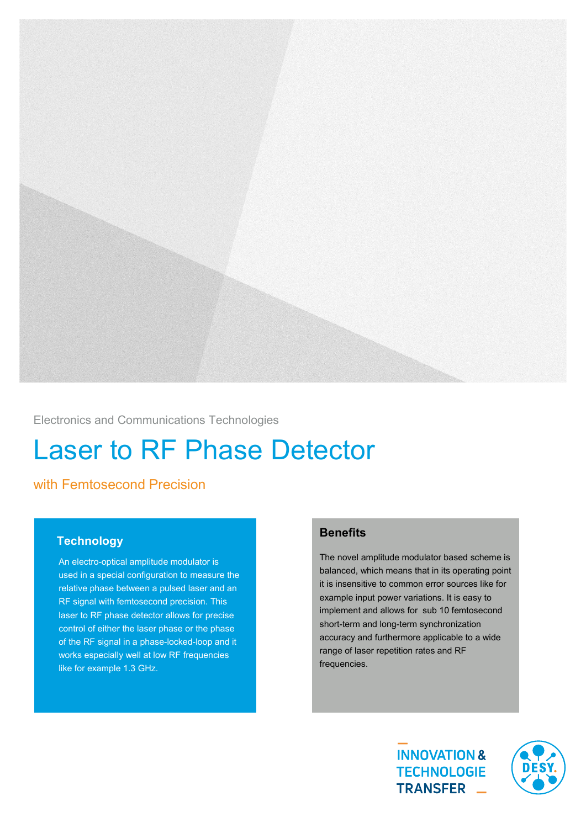

Electronics and Communications Technologies

# Laser to RF Phase Detector

## with Femtosecond Precision

#### **Technology**

An electro-optical amplitude modulator is used in a special configuration to measure the relative phase between a pulsed laser and an RF signal with femtosecond precision. This laser to RF phase detector allows for precise control of either the laser phase or the phase of the RF signal in a phase-locked-loop and it works especially well at low RF frequencies like for example 1.3 GHz.

### **Benefits**

The novel amplitude modulator based scheme is balanced, which means that in its operating point it is insensitive to common error sources like for example input power variations. It is easy to implement and allows for sub 10 femtosecond short-term and long-term synchronization accuracy and furthermore applicable to a wide range of laser repetition rates and RF frequencies.

> **INNOVATION & TECHNOLOGIE** TRANSFER \_